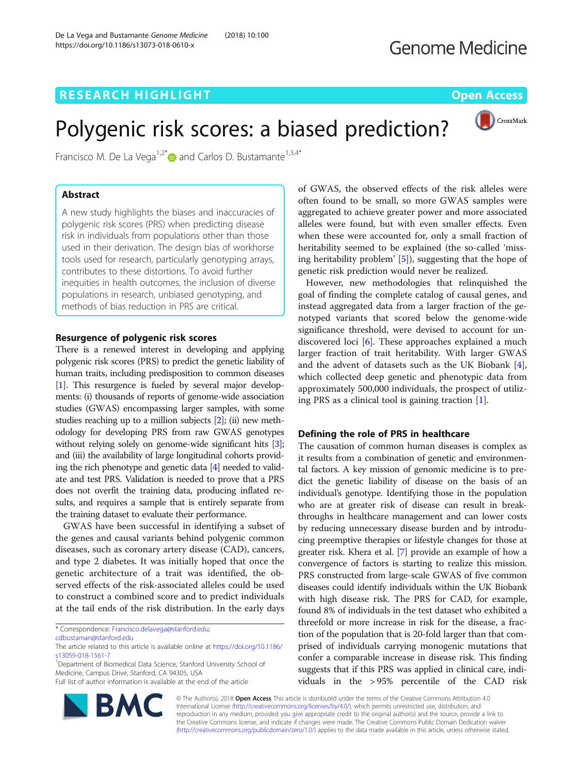## **RESEARCH HIGHLIGHT CONSUMING THE OPEN ACCESS**



# Polygenic risk scores: a biased prediction?

Francisco M. De La Vega<sup>1,2[\\*](http://orcid.org/0000-0002-9228-2097)</sup> and Carlos D. Bustamante<sup>1,3,4\*</sup>

## Abstract

A new study highlights the biases and inaccuracies of polygenic risk scores (PRS) when predicting disease risk in individuals from populations other than those used in their derivation. The design bias of workhorse tools used for research, particularly genotyping arrays, contributes to these distortions. To avoid further inequities in health outcomes, the inclusion of diverse populations in research, unbiased genotyping, and methods of bias reduction in PRS are critical.

#### Resurgence of polygenic risk scores

There is a renewed interest in developing and applying polygenic risk scores (PRS) to predict the genetic liability of human traits, including predisposition to common diseases [[1](#page-2-0)]. This resurgence is fueled by several major developments: (i) thousands of reports of genome-wide association studies (GWAS) encompassing larger samples, with some studies reaching up to a million subjects [\[2](#page-2-0)]; (ii) new methodology for developing PRS from raw GWAS genotypes without relying solely on genome-wide significant hits [[3](#page-2-0)]; and (iii) the availability of large longitudinal cohorts providing the rich phenotype and genetic data [\[4](#page-2-0)] needed to validate and test PRS. Validation is needed to prove that a PRS does not overfit the training data, producing inflated results, and requires a sample that is entirely separate from the training dataset to evaluate their performance.

GWAS have been successful in identifying a subset of the genes and causal variants behind polygenic common diseases, such as coronary artery disease (CAD), cancers, and type 2 diabetes. It was initially hoped that once the genetic architecture of a trait was identified, the observed effects of the risk-associated alleles could be used to construct a combined score and to predict individuals at the tail ends of the risk distribution. In the early days

Full list of author information is available at the end of the article



of GWAS, the observed effects of the risk alleles were often found to be small, so more GWAS samples were aggregated to achieve greater power and more associated alleles were found, but with even smaller effects. Even when these were accounted for, only a small fraction of heritability seemed to be explained (the so-called 'missing heritability problem' [\[5\]](#page-2-0)), suggesting that the hope of genetic risk prediction would never be realized.

However, new methodologies that relinquished the goal of finding the complete catalog of causal genes, and instead aggregated data from a larger fraction of the genotyped variants that scored below the genome-wide significance threshold, were devised to account for undiscovered loci [\[6](#page-2-0)]. These approaches explained a much larger fraction of trait heritability. With larger GWAS and the advent of datasets such as the UK Biobank [\[4](#page-2-0)], which collected deep genetic and phenotypic data from approximately 500,000 individuals, the prospect of utilizing PRS as a clinical tool is gaining traction [\[1](#page-2-0)].

### Defining the role of PRS in healthcare

The causation of common human diseases is complex as it results from a combination of genetic and environmental factors. A key mission of genomic medicine is to predict the genetic liability of disease on the basis of an individual's genotype. Identifying those in the population who are at greater risk of disease can result in breakthroughs in healthcare management and can lower costs by reducing unnecessary disease burden and by introducing preemptive therapies or lifestyle changes for those at greater risk. Khera et al. [[7](#page-2-0)] provide an example of how a convergence of factors is starting to realize this mission. PRS constructed from large-scale GWAS of five common diseases could identify individuals within the UK Biobank with high disease risk. The PRS for CAD, for example, found 8% of individuals in the test dataset who exhibited a threefold or more increase in risk for the disease, a fraction of the population that is 20-fold larger than that comprised of individuals carrying monogenic mutations that confer a comparable increase in disease risk. This finding suggests that if this PRS was applied in clinical care, individuals in the > 95% percentile of the CAD risk

© The Author(s). 2018 Open Access This article is distributed under the terms of the Creative Commons Attribution 4.0 International License [\(http://creativecommons.org/licenses/by/4.0/](http://creativecommons.org/licenses/by/4.0/)), which permits unrestricted use, distribution, and reproduction in any medium, provided you give appropriate credit to the original author(s) and the source, provide a link to the Creative Commons license, and indicate if changes were made. The Creative Commons Public Domain Dedication waiver [\(http://creativecommons.org/publicdomain/zero/1.0/](http://creativecommons.org/publicdomain/zero/1.0/)) applies to the data made available in this article, unless otherwise stated.

<sup>\*</sup> Correspondence: [Francisco.delavega@stanford.edu](mailto:Francisco.delavega@stanford.edu);

[cdbustaman@stanford.edu](mailto:cdbustaman@stanford.edu)

The article related to this article is available online at [https://doi.org/10.1186/](https://doi.org/10.1186/s13059-018-1561-7) [s13059-018-1561-7](https://doi.org/10.1186/s13059-018-1561-7)

<sup>&</sup>lt;sup>1</sup>Department of Biomedical Data Science, Stanford University School of Medicine, Campus Drive, Stanford, CA 94305, USA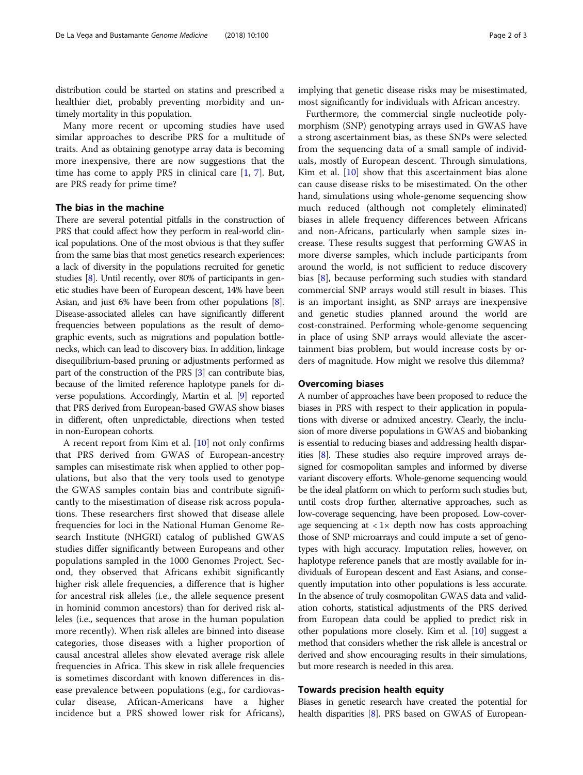distribution could be started on statins and prescribed a healthier diet, probably preventing morbidity and untimely mortality in this population.

Many more recent or upcoming studies have used similar approaches to describe PRS for a multitude of traits. And as obtaining genotype array data is becoming more inexpensive, there are now suggestions that the time has come to apply PRS in clinical care [[1,](#page-2-0) [7\]](#page-2-0). But, are PRS ready for prime time?

#### The bias in the machine

There are several potential pitfalls in the construction of PRS that could affect how they perform in real-world clinical populations. One of the most obvious is that they suffer from the same bias that most genetics research experiences: a lack of diversity in the populations recruited for genetic studies [\[8\]](#page-2-0). Until recently, over 80% of participants in genetic studies have been of European descent, 14% have been Asian, and just 6% have been from other populations [[8](#page-2-0)]. Disease-associated alleles can have significantly different frequencies between populations as the result of demographic events, such as migrations and population bottlenecks, which can lead to discovery bias. In addition, linkage disequilibrium-based pruning or adjustments performed as part of the construction of the PRS [\[3\]](#page-2-0) can contribute bias, because of the limited reference haplotype panels for diverse populations. Accordingly, Martin et al. [\[9\]](#page-2-0) reported that PRS derived from European-based GWAS show biases in different, often unpredictable, directions when tested in non-European cohorts.

A recent report from Kim et al. [\[10\]](#page-2-0) not only confirms that PRS derived from GWAS of European-ancestry samples can misestimate risk when applied to other populations, but also that the very tools used to genotype the GWAS samples contain bias and contribute significantly to the misestimation of disease risk across populations. These researchers first showed that disease allele frequencies for loci in the National Human Genome Research Institute (NHGRI) catalog of published GWAS studies differ significantly between Europeans and other populations sampled in the 1000 Genomes Project. Second, they observed that Africans exhibit significantly higher risk allele frequencies, a difference that is higher for ancestral risk alleles (i.e., the allele sequence present in hominid common ancestors) than for derived risk alleles (i.e., sequences that arose in the human population more recently). When risk alleles are binned into disease categories, those diseases with a higher proportion of causal ancestral alleles show elevated average risk allele frequencies in Africa. This skew in risk allele frequencies is sometimes discordant with known differences in disease prevalence between populations (e.g., for cardiovascular disease, African-Americans have a higher incidence but a PRS showed lower risk for Africans), implying that genetic disease risks may be misestimated, most significantly for individuals with African ancestry.

Furthermore, the commercial single nucleotide polymorphism (SNP) genotyping arrays used in GWAS have a strong ascertainment bias, as these SNPs were selected from the sequencing data of a small sample of individuals, mostly of European descent. Through simulations, Kim et al. [\[10\]](#page-2-0) show that this ascertainment bias alone can cause disease risks to be misestimated. On the other hand, simulations using whole-genome sequencing show much reduced (although not completely eliminated) biases in allele frequency differences between Africans and non-Africans, particularly when sample sizes increase. These results suggest that performing GWAS in more diverse samples, which include participants from around the world, is not sufficient to reduce discovery bias [[8\]](#page-2-0), because performing such studies with standard commercial SNP arrays would still result in biases. This is an important insight, as SNP arrays are inexpensive and genetic studies planned around the world are cost-constrained. Performing whole-genome sequencing in place of using SNP arrays would alleviate the ascertainment bias problem, but would increase costs by orders of magnitude. How might we resolve this dilemma?

#### Overcoming biases

A number of approaches have been proposed to reduce the biases in PRS with respect to their application in populations with diverse or admixed ancestry. Clearly, the inclusion of more diverse populations in GWAS and biobanking is essential to reducing biases and addressing health disparities [\[8\]](#page-2-0). These studies also require improved arrays designed for cosmopolitan samples and informed by diverse variant discovery efforts. Whole-genome sequencing would be the ideal platform on which to perform such studies but, until costs drop further, alternative approaches, such as low-coverage sequencing, have been proposed. Low-coverage sequencing at  $\langle 1 \times \text{depth} \rangle$  now has costs approaching those of SNP microarrays and could impute a set of genotypes with high accuracy. Imputation relies, however, on haplotype reference panels that are mostly available for individuals of European descent and East Asians, and consequently imputation into other populations is less accurate. In the absence of truly cosmopolitan GWAS data and validation cohorts, statistical adjustments of the PRS derived from European data could be applied to predict risk in other populations more closely. Kim et al. [[10](#page-2-0)] suggest a method that considers whether the risk allele is ancestral or derived and show encouraging results in their simulations, but more research is needed in this area.

#### Towards precision health equity

Biases in genetic research have created the potential for health disparities [\[8\]](#page-2-0). PRS based on GWAS of European-